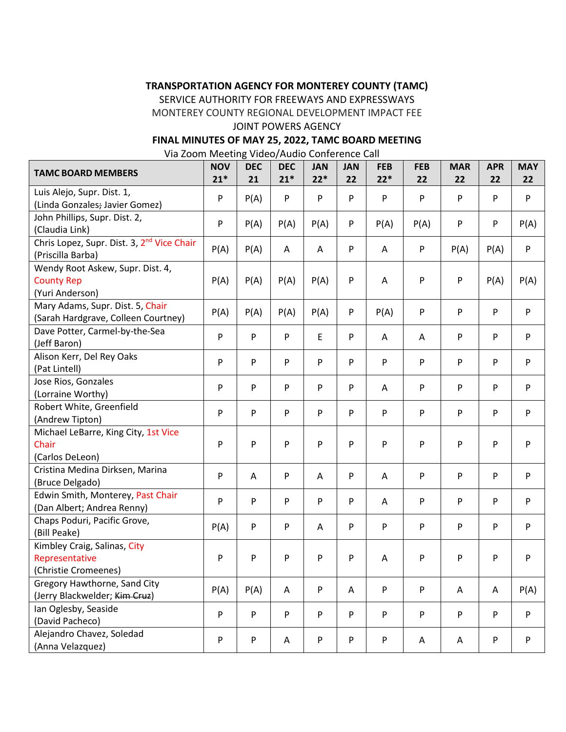# **TRANSPORTATION AGENCY FOR MONTEREY COUNTY (TAMC)**

SERVICE AUTHORITY FOR FREEWAYS AND EXPRESSWAYS

MONTEREY COUNTY REGIONAL DEVELOPMENT IMPACT FEE

#### JOINT POWERS AGENCY

#### **FINAL MINUTES OF MAY 25, 2022, TAMC BOARD MEETING**

Via Zoom Meeting Video/Audio Conference Call

| <b>TAMC BOARD MEMBERS</b>                                                   | <b>NOV</b><br>$21*$ | <b>DEC</b><br>21 | <b>DEC</b><br>$21*$ | <b>JAN</b><br>$22*$ | <b>JAN</b><br>22 | <b>FEB</b><br>$22*$ | <b>FEB</b><br>22 | <b>MAR</b><br>22 | <b>APR</b><br>22 | <b>MAY</b><br>22 |
|-----------------------------------------------------------------------------|---------------------|------------------|---------------------|---------------------|------------------|---------------------|------------------|------------------|------------------|------------------|
| Luis Alejo, Supr. Dist. 1,<br>(Linda Gonzales; Javier Gomez)                | P                   | P(A)             | P                   | P                   | P                | P                   | P                | P                | P                | P                |
| John Phillips, Supr. Dist. 2,<br>(Claudia Link)                             | P                   | P(A)             | P(A)                | P(A)                | P                | P(A)                | P(A)             | P                | P                | P(A)             |
| Chris Lopez, Supr. Dist. 3, 2 <sup>nd</sup> Vice Chair<br>(Priscilla Barba) | P(A)                | P(A)             | A                   | A                   | P                | A                   | P                | P(A)             | P(A)             | P                |
| Wendy Root Askew, Supr. Dist. 4,<br><b>County Rep</b><br>(Yuri Anderson)    | P(A)                | P(A)             | P(A)                | P(A)                | P                | Α                   | P                | P                | P(A)             | P(A)             |
| Mary Adams, Supr. Dist. 5, Chair<br>(Sarah Hardgrave, Colleen Courtney)     | P(A)                | P(A)             | P(A)                | P(A)                | P                | P(A)                | P                | P                | P                | P                |
| Dave Potter, Carmel-by-the-Sea<br>(Jeff Baron)                              | P                   | P                | ${\sf P}$           | E                   | P                | A                   | A                | P                | P                | P                |
| Alison Kerr, Del Rey Oaks<br>(Pat Lintell)                                  | P                   | P                | P                   | P                   | P                | P                   | P                | P                | P                | P                |
| Jose Rios, Gonzales<br>(Lorraine Worthy)                                    | P                   | P                | P                   | P                   | P                | Α                   | P                | P                | P                | P                |
| Robert White, Greenfield<br>(Andrew Tipton)                                 | P                   | P                | P                   | P                   | P                | P                   | P                | P                | P                | P                |
| Michael LeBarre, King City, 1st Vice<br>Chair<br>(Carlos DeLeon)            | P                   | P                | P                   | P                   | P                | P                   | P                | P                | P                | P                |
| Cristina Medina Dirksen, Marina<br>(Bruce Delgado)                          | P                   | Α                | ${\sf P}$           | A                   | P                | Α                   | P                | P                | P                | P                |
| Edwin Smith, Monterey, Past Chair<br>(Dan Albert; Andrea Renny)             | P                   | P                | P                   | P                   | P                | Α                   | P                | P                | P                | P                |
| Chaps Poduri, Pacific Grove,<br>(Bill Peake)                                | P(A)                | P                | P                   | A                   | P                | P                   | P                | P                | P                | P                |
| Kimbley Craig, Salinas, City<br>Representative<br>(Christie Cromeenes)      | P                   | P                | P                   | P                   | P                | Α                   | P                | P                | P                | P                |
| Gregory Hawthorne, Sand City<br>(Jerry Blackwelder; Kim Cruz)               | P(A)                | P(A)             | Α                   | P                   | A                | P                   | P                | Α                | Α                | P(A)             |
| Ian Oglesby, Seaside<br>(David Pacheco)                                     | P                   | P                | ${\sf P}$           | P                   | P                | P                   | ${\sf P}$        | P                | P                | P                |
| Alejandro Chavez, Soledad<br>(Anna Velazquez)                               | P                   | P                | Α                   | P                   | P                | P                   | A                | A                | P                | P                |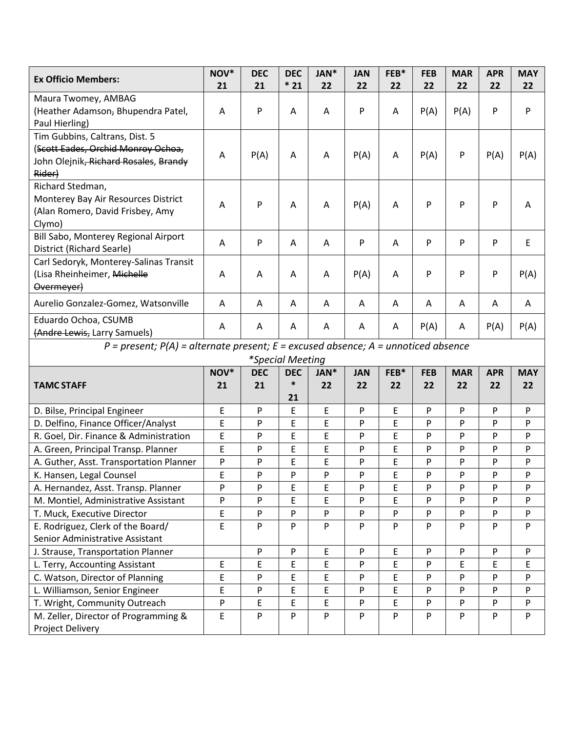| <b>Ex Officio Members:</b>                                                                                                           | NOV* | <b>DEC</b> | <b>DEC</b>  | JAN*             | <b>JAN</b> | FEB* | <b>FEB</b> | <b>MAR</b> | <b>APR</b> | <b>MAY</b> |
|--------------------------------------------------------------------------------------------------------------------------------------|------|------------|-------------|------------------|------------|------|------------|------------|------------|------------|
|                                                                                                                                      | 21   | 21         | $*21$       | 22               | 22         | 22   | 22         | 22         | 22         | 22         |
| Maura Twomey, AMBAG<br>(Heather Adamson, Bhupendra Patel,<br>Paul Hierling)                                                          | A    | P          | A           | Α                | P          | A    | P(A)       | P(A)       | P          | P          |
| Tim Gubbins, Caltrans, Dist. 5<br>(Scott Eades, Orchid Monroy Ochoa,<br>John Olejnik <del>, Richard Rosales</del> , Brandy<br>Rider) | A    | P(A)       | A           | A                | P(A)       | A    | P(A)       | P          | P(A)       | P(A)       |
| Richard Stedman,<br>Monterey Bay Air Resources District<br>(Alan Romero, David Frisbey, Amy<br>Clymo)                                | А    | P          | Α           | A                | P(A)       | A    | P          | P          | P          | A          |
| Bill Sabo, Monterey Regional Airport<br>District (Richard Searle)                                                                    | Α    | P          | A           | A                | P          | A    | P          | P          | P          | Ε          |
| Carl Sedoryk, Monterey-Salinas Transit<br>(Lisa Rheinheimer, Michelle<br>Overmeyer)                                                  | A    | Α          | A           | A                | P(A)       | A    | P          | P          | P          | P(A)       |
| Aurelio Gonzalez-Gomez, Watsonville                                                                                                  | A    | A          | A           | Α                | Α          | A    | A          | A          | A          | A          |
| Eduardo Ochoa, CSUMB<br>(Andre Lewis, Larry Samuels)                                                                                 | Α    | A          | A           | A                | A          | Α    | P(A)       | A          | P(A)       | P(A)       |
| $P = present$ ; $P(A) = alternate present$ ; $E = excused absence$ ; $A = un noticed absence$                                        |      |            |             |                  |            |      |            |            |            |            |
| <i>*Special Meeting</i>                                                                                                              |      |            |             |                  |            |      |            |            |            |            |
|                                                                                                                                      | NOV* | <b>DEC</b> | <b>DEC</b>  | JAN <sup>*</sup> | <b>JAN</b> | FEB* | <b>FEB</b> | <b>MAR</b> | <b>APR</b> | <b>MAY</b> |
| <b>TAMC STAFF</b>                                                                                                                    | 21   | 21         | *<br>21     | 22               | 22         | 22   | 22         | 22         | 22         | 22         |
| D. Bilse, Principal Engineer                                                                                                         | E    | P          | E           | E                | P          | E    | P          | P          | P          | P          |
| D. Delfino, Finance Officer/Analyst                                                                                                  | E    | P          | E           | E                | P          | E    | P          | P          | P          | P          |
| R. Goel, Dir. Finance & Administration                                                                                               | E    | P          | E           | E                | P          | E    | P          | P          | P          | P          |
| A. Green, Principal Transp. Planner                                                                                                  | E    | P          | E           | E                | P          | E    | P          | P          | P          | P          |
| A. Guther, Asst. Transportation Planner                                                                                              | P    | P          | E           | E                | P          | E    | P          | P          | P          | P          |
| K. Hansen, Legal Counsel                                                                                                             | E    | P          | P           | P                | P          | E    | P          | P          | P          | P          |
| A. Hernandez, Asst. Transp. Planner                                                                                                  | P    | P          | E           | E                | P          | E    | P          | P          | P          | P          |
| M. Montiel, Administrative Assistant                                                                                                 | P    | P          | E           | E.               | P          | E    | P          | P          | P          | P          |
| T. Muck, Executive Director                                                                                                          | E    | P          | ${\sf P}$   | P                | P          | P    | P          | P          | P          | P          |
| E. Rodriguez, Clerk of the Board/                                                                                                    | E    | P          | ${\sf P}$   | P                | P          | P    | P          | P          | P          | P          |
| Senior Administrative Assistant                                                                                                      |      |            |             |                  |            |      |            |            |            |            |
| J. Strause, Transportation Planner                                                                                                   |      | P          | ${\sf P}$   | E                | P          | E    | P          | P          | P          | P          |
| L. Terry, Accounting Assistant                                                                                                       | E    | E          | $\mathsf E$ | E.               | P          | E    | P          | E          | E          | E          |
| C. Watson, Director of Planning                                                                                                      | E    | P          | $\mathsf E$ | E                | P          | E    | P          | P          | P          | P          |
| L. Williamson, Senior Engineer                                                                                                       | E    | P          | E           | E                | P          | E    | P          | P          | P          | P          |
| T. Wright, Community Outreach                                                                                                        | P    | E          | $\mathsf E$ | E.               | P          | E    | P          | P          | P          | P          |
| M. Zeller, Director of Programming &<br>Project Delivery                                                                             | E    | P          | ${\sf P}$   | P                | P          | P    | P          | P          | P          | P          |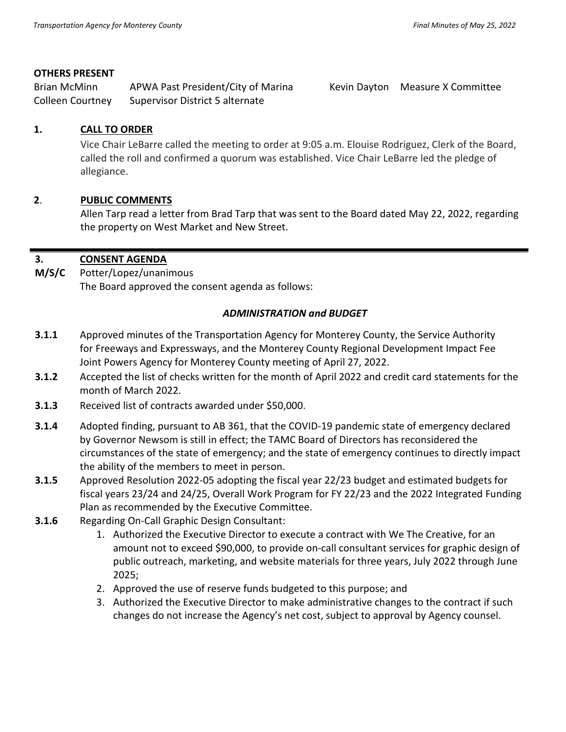## **OTHERS PRESENT**

Brian McMinn APWA Past President/City of Marina Kevin Dayton Measure X Committee Colleen Courtney Supervisor District 5 alternate

## **1. CALL TO ORDER**

Vice Chair LeBarre called the meeting to order at 9:05 a.m. Elouise Rodriguez, Clerk of the Board, called the roll and confirmed a quorum was established. Vice Chair LeBarre led the pledge of allegiance.

# **2**. **PUBLIC COMMENTS**

Allen Tarp read a letter from Brad Tarp that was sent to the Board dated May 22, 2022, regarding the property on West Market and New Street.

#### **3. CONSENT AGENDA**

**M/S/C**  Potter/Lopez/unanimous The Board approved the consent agenda as follows:

## *ADMINISTRATION and BUDGET*

- **3.1.1** Approved minutes of the Transportation Agency for Monterey County, the Service Authority for Freeways and Expressways, and the Monterey County Regional Development Impact Fee Joint Powers Agency for Monterey County meeting of April 27, 2022.
- **3.1.2** Accepted the list of checks written for the month of April 2022 and credit card statements for the month of March 2022.
- **3.1.3** Received list of contracts awarded under \$50,000.
- **3.1.4** Adopted finding, pursuant to AB 361, that the COVID-19 pandemic state of emergency declared by Governor Newsom is still in effect; the TAMC Board of Directors has reconsidered the circumstances of the state of emergency; and the state of emergency continues to directly impact the ability of the members to meet in person.
- **3.1.5** Approved Resolution 2022-05 adopting the fiscal year 22/23 budget and estimated budgets for fiscal years 23/24 and 24/25, Overall Work Program for FY 22/23 and the 2022 Integrated Funding Plan as recommended by the Executive Committee.
- **3.1.6** Regarding On-Call Graphic Design Consultant:
	- 1. Authorized the Executive Director to execute a contract with We The Creative, for an amount not to exceed \$90,000, to provide on-call consultant services for graphic design of public outreach, marketing, and website materials for three years, July 2022 through June 2025;
	- 2. Approved the use of reserve funds budgeted to this purpose; and
	- 3. Authorized the Executive Director to make administrative changes to the contract if such changes do not increase the Agency's net cost, subject to approval by Agency counsel.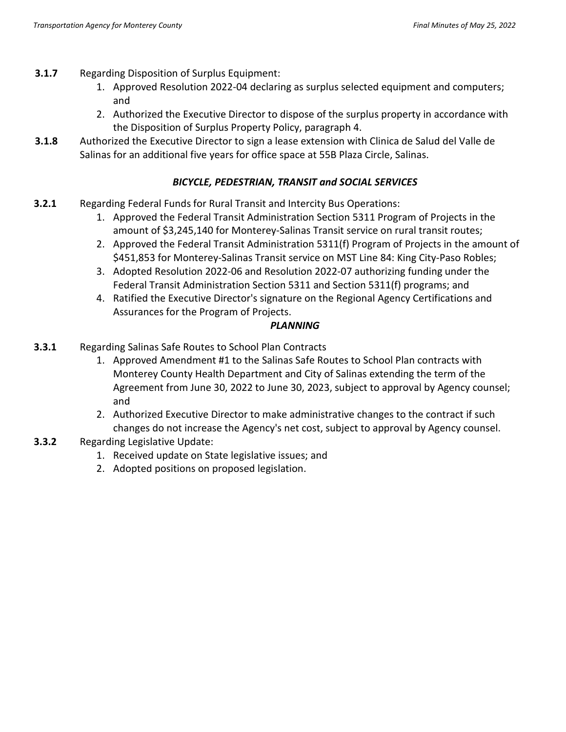- **3.1.7** Regarding Disposition of Surplus Equipment:
	- 1. Approved Resolution 2022-04 declaring as surplus selected equipment and computers; and
	- 2. Authorized the Executive Director to dispose of the surplus property in accordance with the Disposition of Surplus Property Policy, paragraph 4.
- **3.1.8** Authorized the Executive Director to sign a lease extension with Clinica de Salud del Valle de Salinas for an additional five years for office space at 55B Plaza Circle, Salinas.

# *BICYCLE, PEDESTRIAN, TRANSIT and SOCIAL SERVICES*

- **3.2.1** Regarding Federal Funds for Rural Transit and Intercity Bus Operations:
	- 1. Approved the Federal Transit Administration Section 5311 Program of Projects in the amount of \$3,245,140 for Monterey-Salinas Transit service on rural transit routes;
	- 2. Approved the Federal Transit Administration 5311(f) Program of Projects in the amount of \$451,853 for Monterey-Salinas Transit service on MST Line 84: King City-Paso Robles;
	- 3. Adopted Resolution 2022-06 and Resolution 2022-07 authorizing funding under the Federal Transit Administration Section 5311 and Section 5311(f) programs; and
	- 4. Ratified the Executive Director's signature on the Regional Agency Certifications and Assurances for the Program of Projects.

# *PLANNING*

- **3.3.1** Regarding Salinas Safe Routes to School Plan Contracts
	- 1. Approved Amendment #1 to the Salinas Safe Routes to School Plan contracts with Monterey County Health Department and City of Salinas extending the term of the Agreement from June 30, 2022 to June 30, 2023, subject to approval by Agency counsel; and
	- 2. Authorized Executive Director to make administrative changes to the contract if such changes do not increase the Agency's net cost, subject to approval by Agency counsel.
- **3.3.2** Regarding Legislative Update:
	- 1. Received update on State legislative issues; and
	- 2. Adopted positions on proposed legislation.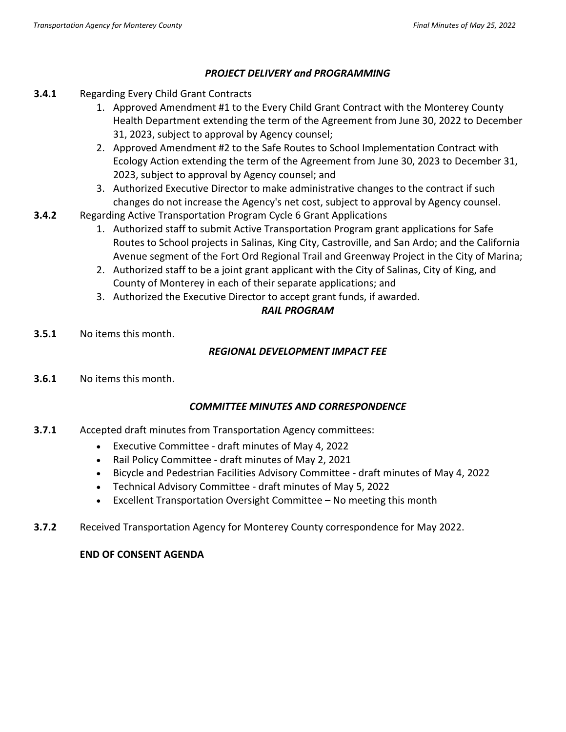# *PROJECT DELIVERY and PROGRAMMING*

- **3.4.1** Regarding Every Child Grant Contracts
	- 1. Approved Amendment #1 to the Every Child Grant Contract with the Monterey County Health Department extending the term of the Agreement from June 30, 2022 to December 31, 2023, subject to approval by Agency counsel;
	- 2. Approved Amendment #2 to the Safe Routes to School Implementation Contract with Ecology Action extending the term of the Agreement from June 30, 2023 to December 31, 2023, subject to approval by Agency counsel; and
	- 3. Authorized Executive Director to make administrative changes to the contract if such changes do not increase the Agency's net cost, subject to approval by Agency counsel.
- **3.4.2** Regarding Active Transportation Program Cycle 6 Grant Applications
	- 1. Authorized staff to submit Active Transportation Program grant applications for Safe Routes to School projects in Salinas, King City, Castroville, and San Ardo; and the California Avenue segment of the Fort Ord Regional Trail and Greenway Project in the City of Marina;
	- 2. Authorized staff to be a joint grant applicant with the City of Salinas, City of King, and County of Monterey in each of their separate applications; and
	- 3. Authorized the Executive Director to accept grant funds, if awarded.

# *RAIL PROGRAM*

**3.5.1** No items this month.

# *REGIONAL DEVELOPMENT IMPACT FEE*

**3.6.1** No items this month.

# *COMMITTEE MINUTES AND CORRESPONDENCE*

- **3.7.1** Accepted draft minutes from Transportation Agency committees:
	- Executive Committee draft minutes of May 4, 2022
	- Rail Policy Committee draft minutes of May 2, 2021
	- Bicycle and Pedestrian Facilities Advisory Committee draft minutes of May 4, 2022
	- Technical Advisory Committee draft minutes of May 5, 2022
	- Excellent Transportation Oversight Committee No meeting this month
- **3.7.2** Received Transportation Agency for Monterey County correspondence for May 2022.

# **END OF CONSENT AGENDA**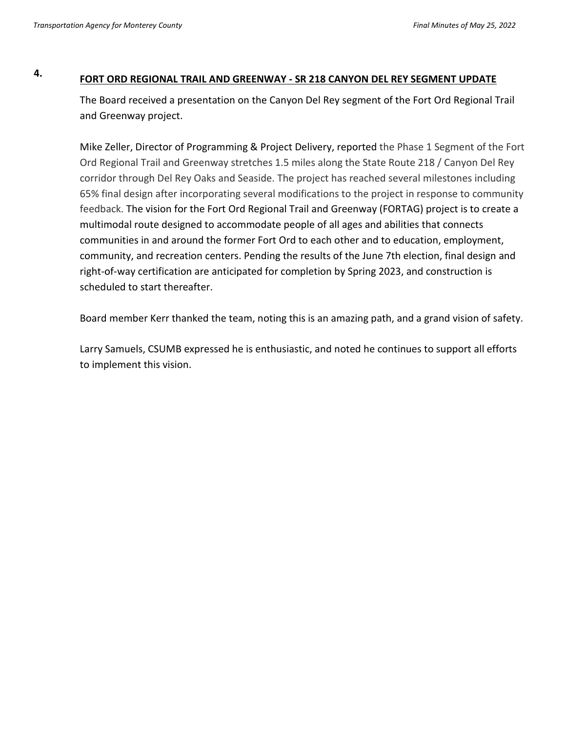# **4. FORT ORD REGIONAL TRAIL AND GREENWAY - SR 218 CANYON DEL REY SEGMENT UPDATE**

The Board received a presentation on the Canyon Del Rey segment of the Fort Ord Regional Trail and Greenway project.

Mike Zeller, Director of Programming & Project Delivery, reported the Phase 1 Segment of the Fort Ord Regional Trail and Greenway stretches 1.5 miles along the State Route 218 / Canyon Del Rey corridor through Del Rey Oaks and Seaside. The project has reached several milestones including 65% final design after incorporating several modifications to the project in response to community feedback. The vision for the Fort Ord Regional Trail and Greenway (FORTAG) project is to create a multimodal route designed to accommodate people of all ages and abilities that connects communities in and around the former Fort Ord to each other and to education, employment, community, and recreation centers. Pending the results of the June 7th election, final design and right-of-way certification are anticipated for completion by Spring 2023, and construction is scheduled to start thereafter.

Board member Kerr thanked the team, noting this is an amazing path, and a grand vision of safety.

Larry Samuels, CSUMB expressed he is enthusiastic, and noted he continues to support all efforts to implement this vision.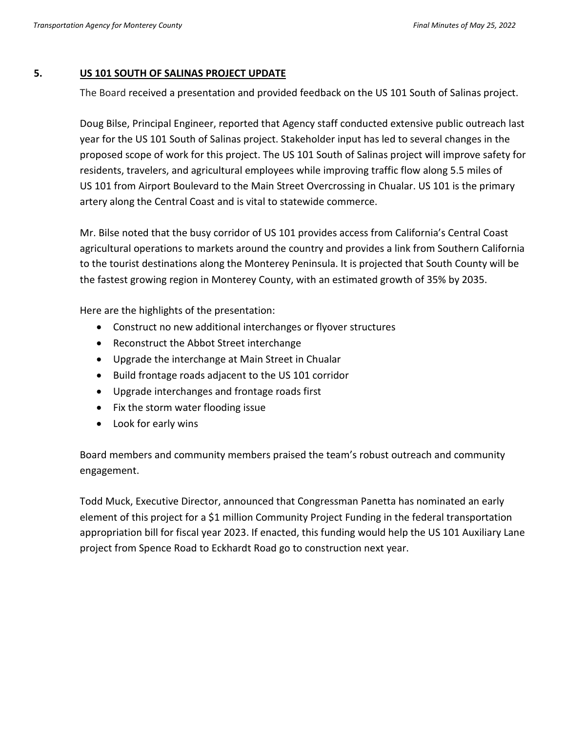#### **5. US 101 SOUTH OF SALINAS PROJECT UPDATE**

The Board received a presentation and provided feedback on the US 101 South of Salinas project.

Doug Bilse, Principal Engineer, reported that Agency staff conducted extensive public outreach last year for the US 101 South of Salinas project. Stakeholder input has led to several changes in the proposed scope of work for this project. The US 101 South of Salinas project will improve safety for residents, travelers, and agricultural employees while improving traffic flow along 5.5 miles of US 101 from Airport Boulevard to the Main Street Overcrossing in Chualar. US 101 is the primary artery along the Central Coast and is vital to statewide commerce.

Mr. Bilse noted that the busy corridor of US 101 provides access from California's Central Coast agricultural operations to markets around the country and provides a link from Southern California to the tourist destinations along the Monterey Peninsula. It is projected that South County will be the fastest growing region in Monterey County, with an estimated growth of 35% by 2035.

Here are the highlights of the presentation:

- Construct no new additional interchanges or flyover structures
- Reconstruct the Abbot Street interchange
- Upgrade the interchange at Main Street in Chualar
- Build frontage roads adjacent to the US 101 corridor
- Upgrade interchanges and frontage roads first
- Fix the storm water flooding issue
- Look for early wins

Board members and community members praised the team's robust outreach and community engagement.

Todd Muck, Executive Director, announced that Congressman Panetta has nominated an early element of this project for a \$1 million Community Project Funding in the federal transportation appropriation bill for fiscal year 2023. If enacted, this funding would help the US 101 Auxiliary Lane project from Spence Road to Eckhardt Road go to construction next year.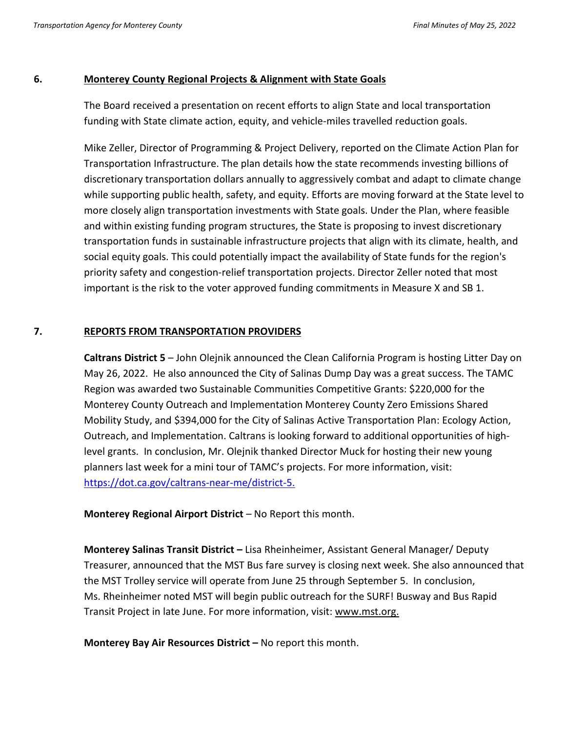# **6. Monterey County Regional Projects & Alignment with State Goals**

The Board received a presentation on recent efforts to align State and local transportation funding with State climate action, equity, and vehicle-miles travelled reduction goals.

Mike Zeller, Director of Programming & Project Delivery, reported on the Climate Action Plan for Transportation Infrastructure. The plan details how the state recommends investing billions of discretionary transportation dollars annually to aggressively combat and adapt to climate change while supporting public health, safety, and equity. Efforts are moving forward at the State level to more closely align transportation investments with State goals. Under the Plan, where feasible and within existing funding program structures, the State is proposing to invest discretionary transportation funds in sustainable infrastructure projects that align with its climate, health, and social equity goals. This could potentially impact the availability of State funds for the region's priority safety and congestion-relief transportation projects. Director Zeller noted that most important is the risk to the voter approved funding commitments in Measure X and SB 1.

# **7. REPORTS FROM TRANSPORTATION PROVIDERS**

**Caltrans District 5** – John Olejnik announced the Clean California Program is hosting Litter Day on May 26, 2022. He also announced the City of Salinas Dump Day was a great success. The TAMC Region was awarded two Sustainable Communities Competitive Grants: \$220,000 for the Monterey County Outreach and Implementation Monterey County Zero Emissions Shared Mobility Study, and \$394,000 for the City of Salinas Active Transportation Plan: Ecology Action, Outreach, and Implementation. Caltrans is looking forward to additional opportunities of highlevel grants. In conclusion, Mr. Olejnik thanked Director Muck for hosting their new young planners last week for a mini tour of TAMC's projects. For more information, visit: [https://dot.ca.gov/caltrans-near-me/district-5.](https://dot.ca.gov/caltrans-near-me/district-5)

**Monterey Regional Airport District** – No Report this month.

**Monterey Salinas Transit District –** Lisa Rheinheimer, Assistant General Manager/ Deputy Treasurer, announced that the MST Bus fare survey is closing next week. She also announced that the MST Trolley service will operate from June 25 through September 5. In conclusion, Ms. Rheinheimer noted MST will begin public outreach for the SURF! Busway and Bus Rapid Transit Project in late June. For more information, visit: [www.mst.org.](http://www.mst.org/)

**Monterey Bay Air Resources District –** No report this month.